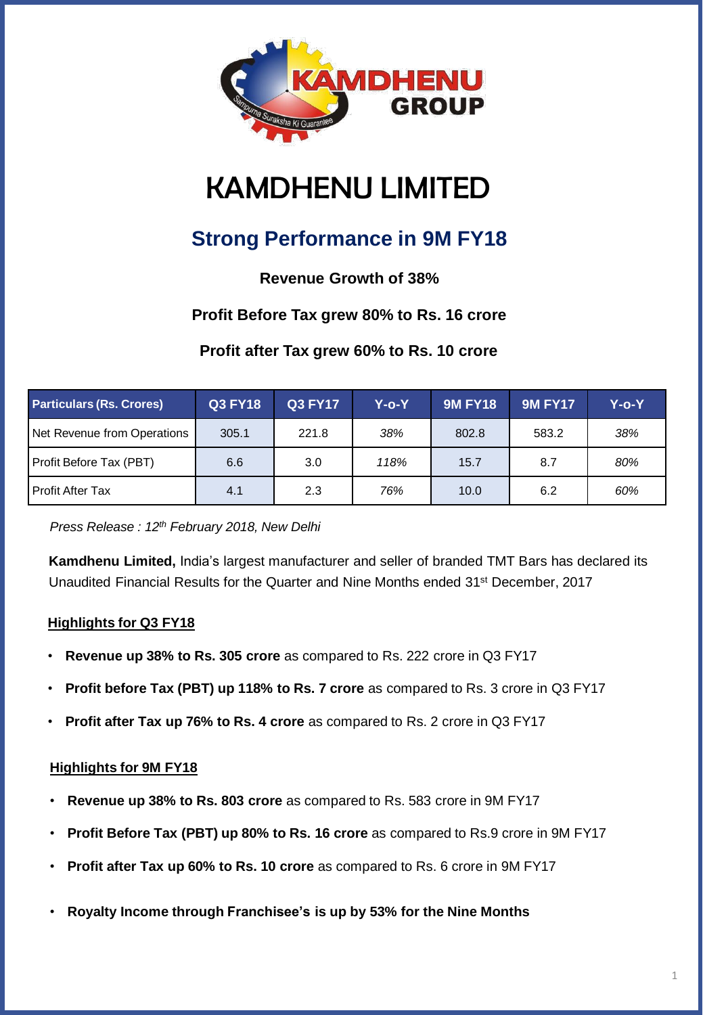

# KAMDHENU LIMITED

# **Strong Performance in 9M FY18**

# **Revenue Growth of 38%**

## **Profit Before Tax grew 80% to Rs. 16 crore**

## **Profit after Tax grew 60% to Rs. 10 crore**

| <b>Particulars (Rs. Crores)</b> | <b>Q3 FY18</b> | <b>Q3 FY17</b> | Y-o-Y | <b>9M FY18</b> | <b>9M FY17</b> | Y-o-Y |
|---------------------------------|----------------|----------------|-------|----------------|----------------|-------|
| Net Revenue from Operations     | 305.1          | 221.8          | 38%   | 802.8          | 583.2          | 38%   |
| Profit Before Tax (PBT)         | 6.6            | 3.0            | 118%  | 15.7           | 8.7            | 80%   |
| l Profit After Tax              | 4.1            | 2.3            | 76%   | 10.0           | 6.2            | 60%   |

*Press Release : 12th February 2018, New Delhi*

**Kamdhenu Limited,** India's largest manufacturer and seller of branded TMT Bars has declared its Unaudited Financial Results for the Quarter and Nine Months ended 31st December, 2017

#### **Highlights for Q3 FY18**

- **Revenue up 38% to Rs. 305 crore** as compared to Rs. 222 crore in Q3 FY17
- **Profit before Tax (PBT) up 118% to Rs. 7 crore** as compared to Rs. 3 crore in Q3 FY17
- **Profit after Tax up 76% to Rs. 4 crore** as compared to Rs. 2 crore in Q3 FY17

#### **Highlights for 9M FY18**

- **Revenue up 38% to Rs. 803 crore** as compared to Rs. 583 crore in 9M FY17
- **Profit Before Tax (PBT) up 80% to Rs. 16 crore** as compared to Rs.9 crore in 9M FY17
- **Profit after Tax up 60% to Rs. 10 crore** as compared to Rs. 6 crore in 9M FY17
- **Royalty Income through Franchisee's is up by 53% for the Nine Months**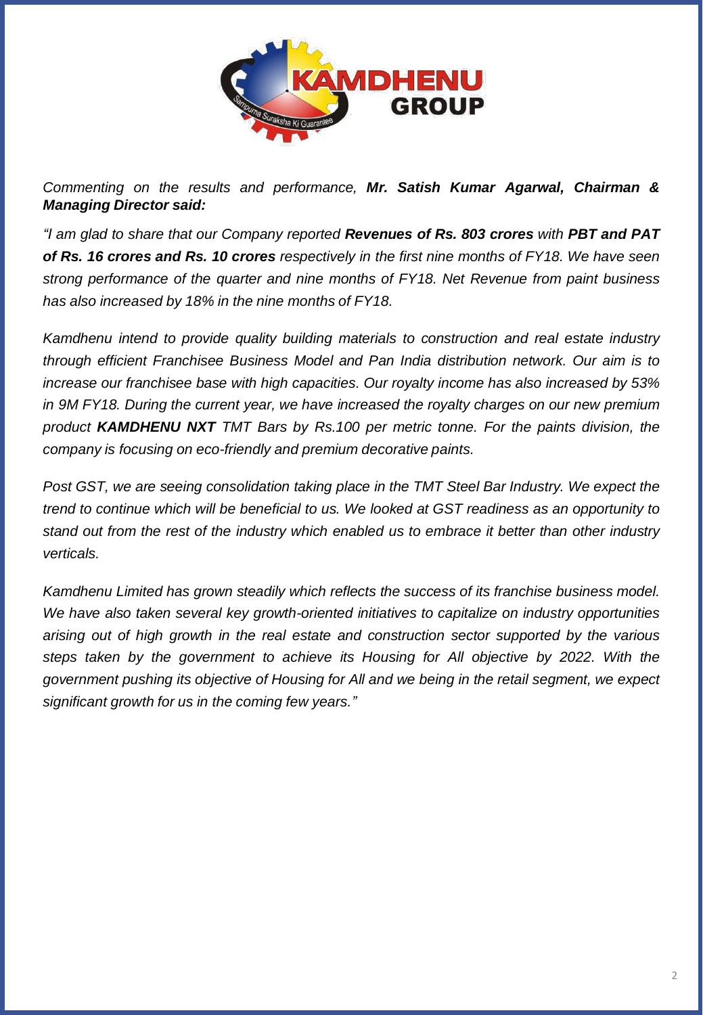

*Commenting on the results and performance, Mr. Satish Kumar Agarwal, Chairman & Managing Director said:*

*"I am glad to share that our Company reported Revenues of Rs. 803 crores with PBT and PAT* of Rs. 16 crores and Rs. 10 crores respectively in the first nine months of FY18. We have seen *strong performance of the quarter and nine months of FY18. Net Revenue from paint business has also increased by 18% in the nine months of FY18.*

*Kamdhenu intend to provide quality building materials to construction and real estate industry through efficient Franchisee Business Model and Pan India distribution network. Our aim is to increase our franchisee base with high capacities. Our royalty income has also increased by 53% in 9M FY18. During the current year, we have increased the royalty charges on our new premium product KAMDHENU NXT TMT Bars by Rs.100 per metric tonne. For the paints division, the company is focusing on eco-friendly and premium decorative paints.*

*Post GST, we are seeing consolidation taking place in the TMT Steel Bar Industry. We expect the trend to continue which will be beneficial to us. We looked at GST readiness as an opportunity to stand out from the rest of the industry which enabled us to embrace it better than other industry verticals.*

*Kamdhenu Limited has grown steadily which reflects the success of its franchise business model. We have also taken several key growth-oriented initiatives to capitalize on industry opportunities arising out of high growth in the real estate and construction sector supported by the various steps taken by the government to achieve its Housing for All objective by 2022. With the government pushing its objective of Housing for All and we being in the retail segment, we expect significant growth for us in the coming few years."*